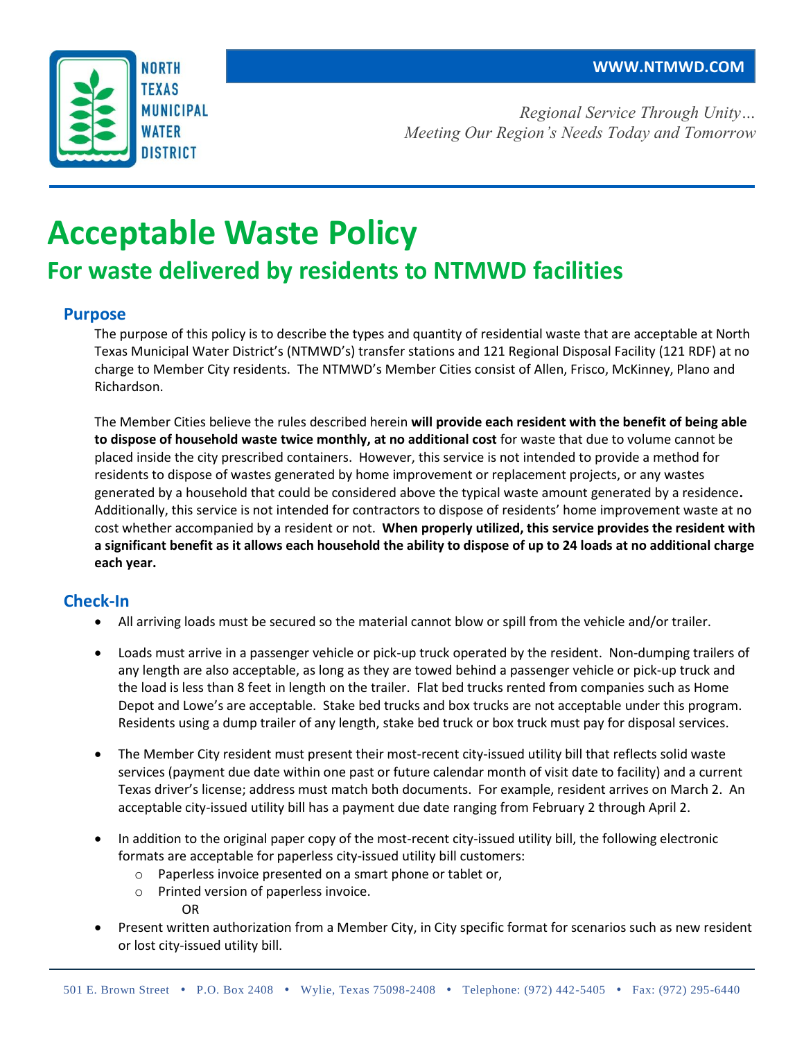

*Regional Service Through Unity… Meeting Our Region's Needs Today and Tomorrow*

# **Acceptable Waste Policy**

# **For waste delivered by residents to NTMWD facilities**

### **Purpose**

The purpose of this policy is to describe the types and quantity of residential waste that are acceptable at North Texas Municipal Water District's (NTMWD's) transfer stations and 121 Regional Disposal Facility (121 RDF) at no charge to Member City residents. The NTMWD's Member Cities consist of Allen, Frisco, McKinney, Plano and Richardson.

The Member Cities believe the rules described herein **will provide each resident with the benefit of being able to dispose of household waste twice monthly, at no additional cost** for waste that due to volume cannot be placed inside the city prescribed containers. However, this service is not intended to provide a method for residents to dispose of wastes generated by home improvement or replacement projects, or any wastes generated by a household that could be considered above the typical waste amount generated by a residence**.**  Additionally, this service is not intended for contractors to dispose of residents' home improvement waste at no cost whether accompanied by a resident or not. **When properly utilized, this service provides the resident with a significant benefit as it allows each household the ability to dispose of up to 24 loads at no additional charge each year.** 

## **Check-In**

- All arriving loads must be secured so the material cannot blow or spill from the vehicle and/or trailer.
- Loads must arrive in a passenger vehicle or pick-up truck operated by the resident. Non-dumping trailers of any length are also acceptable, as long as they are towed behind a passenger vehicle or pick-up truck and the load is less than 8 feet in length on the trailer. Flat bed trucks rented from companies such as Home Depot and Lowe's are acceptable. Stake bed trucks and box trucks are not acceptable under this program. Residents using a dump trailer of any length, stake bed truck or box truck must pay for disposal services.
- The Member City resident must present their most-recent city-issued utility bill that reflects solid waste services (payment due date within one past or future calendar month of visit date to facility) and a current Texas driver's license; address must match both documents. For example, resident arrives on March 2. An acceptable city-issued utility bill has a payment due date ranging from February 2 through April 2.
- In addition to the original paper copy of the most-recent city-issued utility bill, the following electronic formats are acceptable for paperless city-issued utility bill customers:
	- o Paperless invoice presented on a smart phone or tablet or,
	- o Printed version of paperless invoice.

OR

 Present written authorization from a Member City, in City specific format for scenarios such as new resident or lost city-issued utility bill.